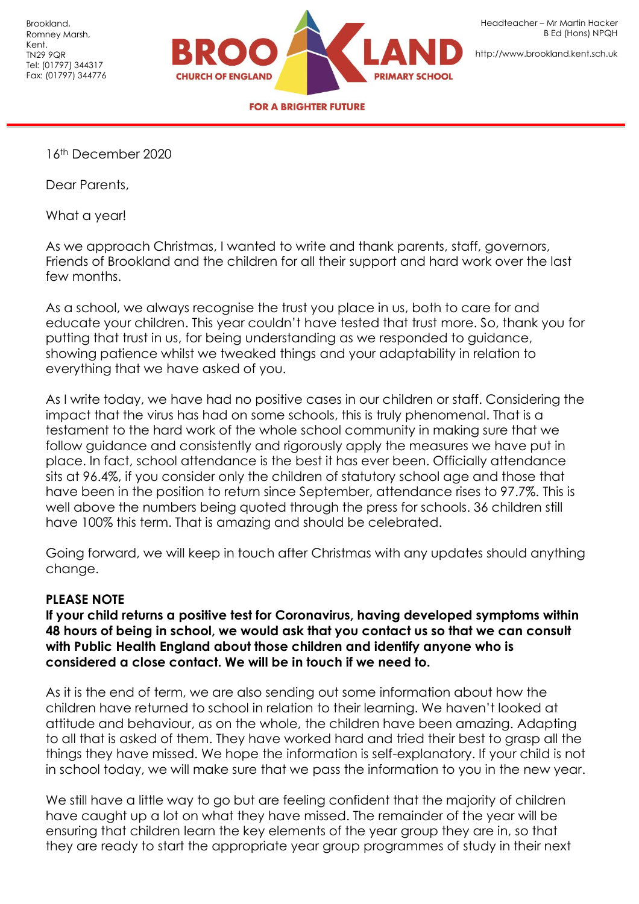

[http://www.brookland.kent.sch.uk](http://www.brookland.kent.sch.uk/)

**FOR A BRIGHTER FUTURE** 

16th December 2020

Dear Parents,

What a year!

As we approach Christmas, I wanted to write and thank parents, staff, governors, Friends of Brookland and the children for all their support and hard work over the last few months.

As a school, we always recognise the trust you place in us, both to care for and educate your children. This year couldn't have tested that trust more. So, thank you for putting that trust in us, for being understanding as we responded to guidance, showing patience whilst we tweaked things and your adaptability in relation to everything that we have asked of you.

As I write today, we have had no positive cases in our children or staff. Considering the impact that the virus has had on some schools, this is truly phenomenal. That is a testament to the hard work of the whole school community in making sure that we follow guidance and consistently and rigorously apply the measures we have put in place. In fact, school attendance is the best it has ever been. Officially attendance sits at 96.4%, if you consider only the children of statutory school age and those that have been in the position to return since September, attendance rises to 97.7%. This is well above the numbers being quoted through the press for schools. 36 children still have 100% this term. That is amazing and should be celebrated.

Going forward, we will keep in touch after Christmas with any updates should anything change.

## **PLEASE NOTE**

**If your child returns a positive test for Coronavirus, having developed symptoms within 48 hours of being in school, we would ask that you contact us so that we can consult with Public Health England about those children and identify anyone who is considered a close contact. We will be in touch if we need to.**

As it is the end of term, we are also sending out some information about how the children have returned to school in relation to their learning. We haven't looked at attitude and behaviour, as on the whole, the children have been amazing. Adapting to all that is asked of them. They have worked hard and tried their best to grasp all the things they have missed. We hope the information is self-explanatory. If your child is not in school today, we will make sure that we pass the information to you in the new year.

We still have a little way to go but are feeling confident that the majority of children have caught up a lot on what they have missed. The remainder of the year will be ensuring that children learn the key elements of the year group they are in, so that they are ready to start the appropriate year group programmes of study in their next